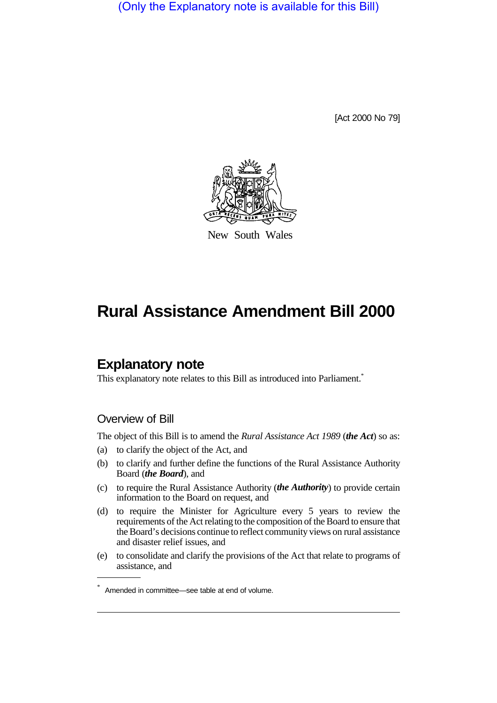(Only the Explanatory note is available for this Bill)

[Act 2000 No 79]



New South Wales

## **Rural Assistance Amendment Bill 2000**

## **Explanatory note**

This explanatory note relates to this Bill as introduced into Parliament.<sup>\*</sup>

## Overview of Bill

The object of this Bill is to amend the *Rural Assistance Act 1989* (*the Act*) so as:

- (a) to clarify the object of the Act, and
- (b) to clarify and further define the functions of the Rural Assistance Authority Board (*the Board*), and
- (c) to require the Rural Assistance Authority (*the Authority*) to provide certain information to the Board on request, and
- (d) to require the Minister for Agriculture every 5 years to review the requirements of the Act relating to the composition of the Board to ensure that the Board's decisions continue to reflect community views on rural assistance and disaster relief issues, and
- (e) to consolidate and clarify the provisions of the Act that relate to programs of assistance, and

<sup>\*</sup> Amended in committee—see table at end of volume.